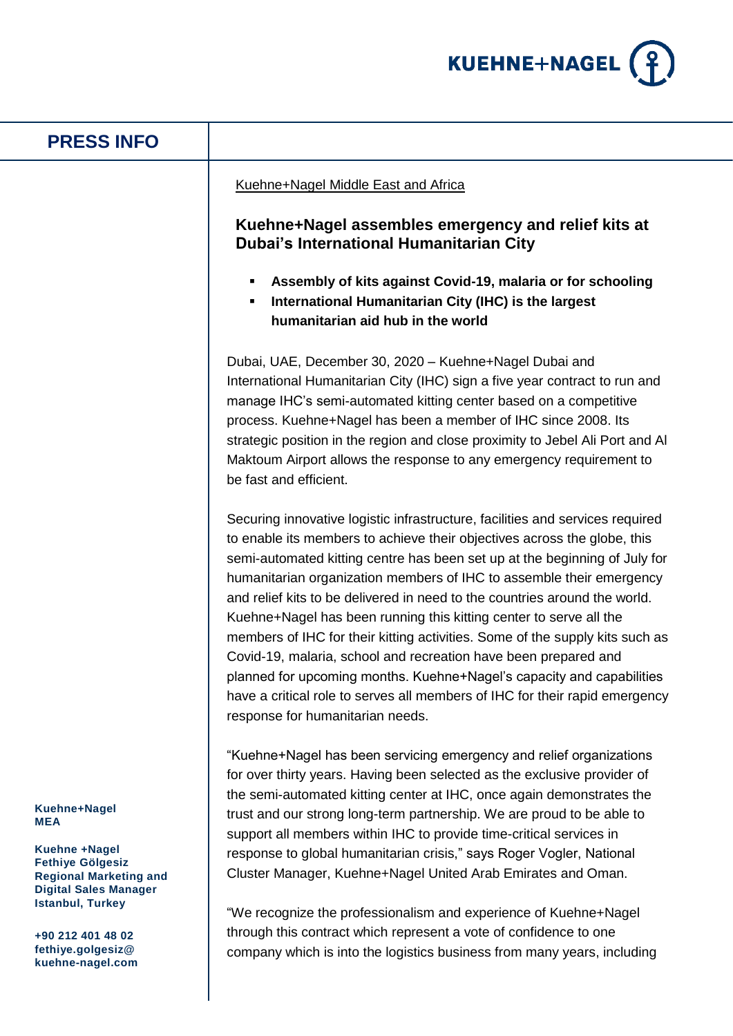

# **PRESS INFO**

## Kuehne+Nagel Middle East and Africa

# **Kuehne+Nagel assembles emergency and relief kits at Dubai's International Humanitarian City**

- **Assembly of kits against Covid-19, malaria or for schooling**
- **International Humanitarian City (IHC) is the largest humanitarian aid hub in the world**

Dubai, UAE, December 30, 2020 – Kuehne+Nagel Dubai and International Humanitarian City (IHC) sign a five year contract to run and manage IHC's semi-automated kitting center based on a competitive process. Kuehne+Nagel has been a member of IHC since 2008. Its strategic position in the region and close proximity to Jebel Ali Port and Al Maktoum Airport allows the response to any emergency requirement to be fast and efficient.

Securing innovative logistic infrastructure, facilities and services required to enable its members to achieve their objectives across the globe, this semi-automated kitting centre has been set up at the beginning of July for humanitarian organization members of IHC to assemble their emergency and relief kits to be delivered in need to the countries around the world. Kuehne+Nagel has been running this kitting center to serve all the members of IHC for their kitting activities. Some of the supply kits such as Covid-19, malaria, school and recreation have been prepared and planned for upcoming months. Kuehne+Nagel's capacity and capabilities have a critical role to serves all members of IHC for their rapid emergency response for humanitarian needs.

"Kuehne+Nagel has been servicing emergency and relief organizations for over thirty years. Having been selected as the exclusive provider of the semi-automated kitting center at IHC, once again demonstrates the trust and our strong long-term partnership. We are proud to be able to support all members within IHC to provide time-critical services in response to global humanitarian crisis," says Roger Vogler, National Cluster Manager, Kuehne+Nagel United Arab Emirates and Oman.

"We recognize the professionalism and experience of Kuehne+Nagel through this contract which represent a vote of confidence to one company which is into the logistics business from many years, including

### **Kuehne+Nagel MEA**

**Kuehne +Nagel Fethiye Gölgesiz Regional Marketing and Digital Sales Manager Istanbul, Turkey**

**+90 212 401 48 02 fethiye.golgesiz@ kuehne-nagel.com**